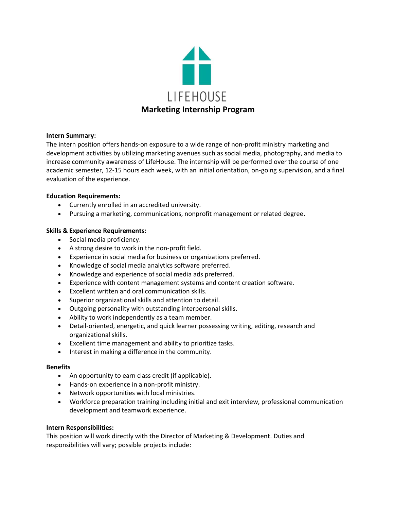

### **Intern Summary:**

The intern position offers hands-on exposure to a wide range of non-profit ministry marketing and development activities by utilizing marketing avenues such as social media, photography, and media to increase community awareness of LifeHouse. The internship will be performed over the course of one academic semester, 12-15 hours each week, with an initial orientation, on-going supervision, and a final evaluation of the experience.

# **Education Requirements:**

- Currently enrolled in an accredited university.
- Pursuing a marketing, communications, nonprofit management or related degree.

### **Skills & Experience Requirements:**

- Social media proficiency.
- A strong desire to work in the non-profit field.
- Experience in social media for business or organizations preferred.
- Knowledge of social media analytics software preferred.
- Knowledge and experience of social media ads preferred.
- Experience with content management systems and content creation software.
- Excellent written and oral communication skills.
- Superior organizational skills and attention to detail.
- Outgoing personality with outstanding interpersonal skills.
- Ability to work independently as a team member.
- Detail-oriented, energetic, and quick learner possessing writing, editing, research and organizational skills.
- Excellent time management and ability to prioritize tasks.
- Interest in making a difference in the community.

### **Benefits**

- An opportunity to earn class credit (if applicable).
- Hands-on experience in a non-profit ministry.
- Network opportunities with local ministries.
- Workforce preparation training including initial and exit interview, professional communication development and teamwork experience.

### **Intern Responsibilities:**

This position will work directly with the Director of Marketing & Development. Duties and responsibilities will vary; possible projects include: